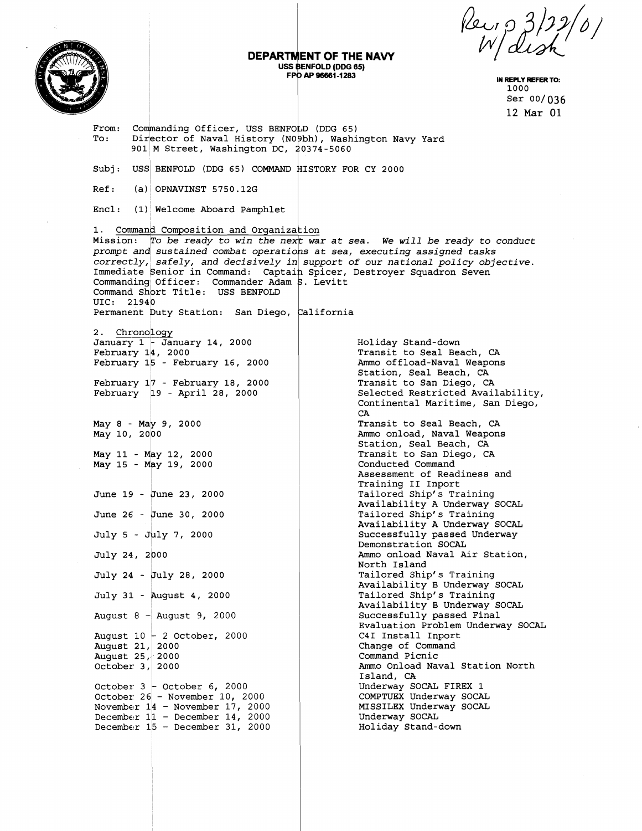1000 Ser 00/036 12 Mar 01

## **DEPARTMENT OF THE NAVY**<br>USS BENFOLD (DDG 65) **EXTIMENT OF THE NAVY**<br>
USS BENFOLD (DDG 65)<br>
FPO AP 96661-1283<br>
PO AP 96661-1283<br>
PO AP 96661-1283<br>
Ser 00/036<br>
Ser 00/036

From: Commanding Officer, USS BENFOLD (DDG 65) To: Director of Naval History (NOObh), Washington Navy Yard  $901$  M Street, Washington DC,  $20374 - 5060$ Subj: USS BENFOLD (DDG 65) COMMAND HISTORY FOR CY 2000<br>Ref: (a) OPNAVINST 5750.12G  $(a)$  OPNAVINST 5750.12G Encl : (1) Welcome Aboard Pamphlet 1. Command Composition and Organization Mission: To be ready to win the next war at sea. We will be ready to conduct prompt and sustained combat operations at sea, executing assigned tasks  $correctly$ , safely, and decisively in support of our national policy objective. Immediate Senior in Command: Captain Spicer, Destroyer Squadron Seven Commanding Officer: Commander Adam S. Levitt<br>Command Short Title: USS BENFOLD UIC: 21940 Permanent Duty Station: San Diego, California 2. Chronology January 1 - January 14, 2000 Holiday Stand-down February  $14, 2000$ Transit to Seal Beach, **CA**  February  $15$  - February 16, 2000 Ammo offload-Naval Weapons Station, Seal Beach, CA February 17 - February 18, 2000 Transit to San Diego, CA February 19 - April 28, 2000 Selected Restricted Availability, Continental Maritime, San Diego, CA  $May 8 - May 9, 2000$ Transit to Seal Beach, CA May 10, 2000 Ammo onload, Naval Weapons Station, Seal Beach, CA May 11 - May 12, 2000<br>May 15 - May 19, 2000<br>June 19 - June 23, 2000 Transit to San Diego, CA Conducted Command Assessment of Readiness and Training I1 Inport Tailored Ship's Training Availability A Underway SOCAL Tailored Ship's Training June 26 - June 30, 2000 Availability A Underway SOCAL I July 5 - July 7, 2000 Successfully passed Underway Demonstration SOCAL July 24:, 2p00 Ammo onload Naval Air Station, North Island July 24 - July 28, 2000 Tailored Ship's Training Availability B Underway SOCAL July 31 - August 4, 2000 Tailored Ship's Training Availability B Underway SOCAL August 8 - August 9, 2000 Successfully passed Final Evaluation Problem Underway SOCAL August  $10\frac{1}{2}$  October, 2000 C41 Install Inport August 21, 2000 Change of Command August 25, 2000 Command Picnic Ammo Onload Naval Station North October  $3, 2000$ Island, **CA**  October  $3 -$ October 6, 2000 Underway SOCAL FIREX 1 COMPTUEX Underway SOCAL October 26 - November 10, 2000 November  $14$  - November 17, 2000 MISSILEX Underway SOCAL Underway SOCAL December  $11 -$  December 14, 2000 December 15 - December 31, 2000 Holiday Stand-down